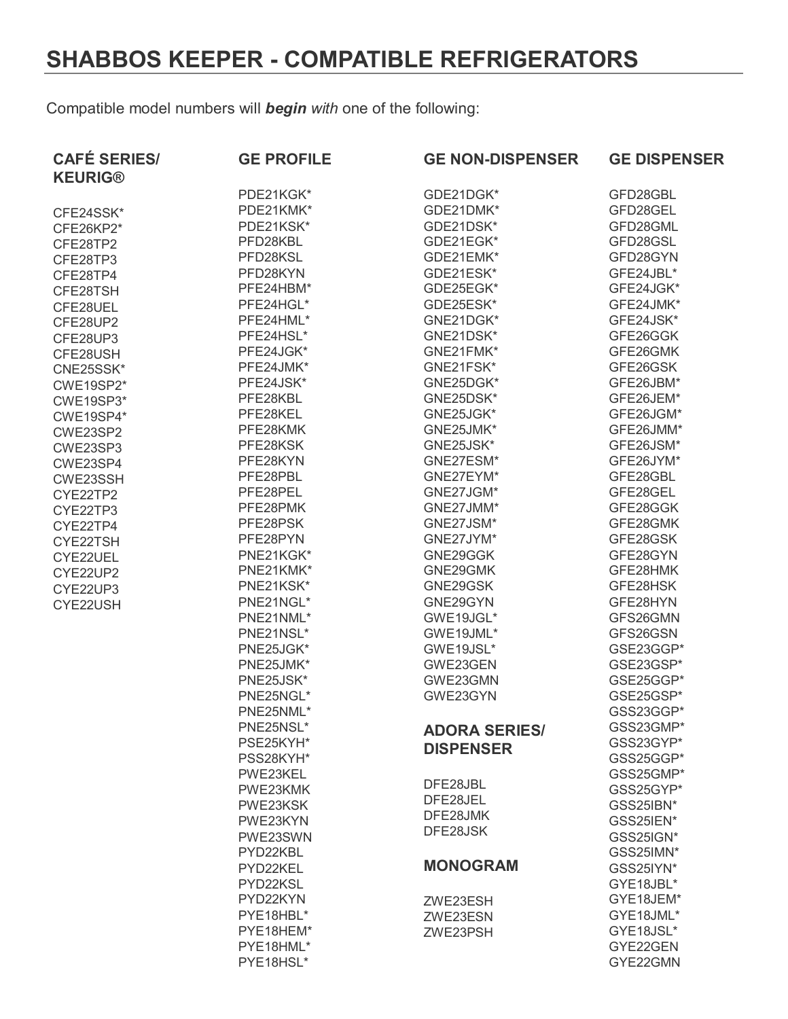## **SHABBOS KEEPER - COMPATIBLE REFRIGERATORS**

Compatible model numbers will *begin with* one of the following:

| <b>CAFÉ SERIES/</b><br><b>KEURIG®</b> | <b>GE PROFILE</b> | <b>GE NON-DISPENSER</b> | <b>GE DISPENSER</b> |
|---------------------------------------|-------------------|-------------------------|---------------------|
|                                       | PDE21KGK*         | GDE21DGK*               | GFD28GBL            |
| CFE24SSK*                             | PDE21KMK*         | GDE21DMK*               | GFD28GEL            |
| CFE26KP2*                             | PDE21KSK*         | GDE21DSK*               | GFD28GML            |
| CFE28TP2                              | PFD28KBL          | GDE21EGK*               | GFD28GSL            |
| CFE28TP3                              | PFD28KSL          | GDE21EMK*               | GFD28GYN            |
| CFE28TP4                              | PFD28KYN          | GDE21ESK*               | GFE24JBL*           |
| CFE28TSH                              | PFE24HBM*         | GDE25EGK*               | GFE24JGK*           |
| CFE28UEL                              | PFE24HGL*         | GDE25ESK*               | GFE24JMK*           |
| CFE28UP2                              | PFE24HML*         | GNE21DGK*               | GFE24JSK*           |
| CFE28UP3                              | PFE24HSL*         | GNE21DSK*               | GFE26GGK            |
| CFE28USH                              | PFE24JGK*         | GNE21FMK*               | GFE26GMK            |
| CNE25SSK*                             | PFE24JMK*         | GNE21FSK*               | GFE26GSK            |
| CWE19SP2*                             | PFE24JSK*         | GNE25DGK*               | GFE26JBM*           |
| CWE19SP3*                             | PFE28KBL          | GNE25DSK*               | GFE26JEM*           |
| CWE19SP4*                             | PFE28KEL          | GNE25JGK*               | GFE26JGM*           |
| CWE23SP2                              | PFE28KMK          | GNE25JMK*               | GFE26JMM*           |
| CWE23SP3                              | PFE28KSK          | GNE25JSK*               | GFE26JSM*           |
| CWE23SP4                              | PFE28KYN          | GNE27ESM*               | GFE26JYM*           |
| CWE23SSH                              | PFE28PBL          | GNE27EYM*               | GFE28GBL            |
| CYE22TP2                              | PFE28PEL          | GNE27JGM*               | GFE28GEL            |
| CYE22TP3                              | PFE28PMK          | GNE27JMM*               | GFE28GGK            |
| CYE22TP4                              | PFE28PSK          | GNE27JSM*               | GFE28GMK            |
| CYE22TSH                              | PFE28PYN          | GNE27JYM*               | GFE28GSK            |
| CYE22UEL                              | PNE21KGK*         | GNE29GGK                | GFE28GYN            |
| CYE22UP2                              | PNE21KMK*         | GNE29GMK                | GFE28HMK            |
| CYE22UP3                              | PNE21KSK*         | GNE29GSK                | GFE28HSK            |
| CYE22USH                              | PNE21NGL*         | GNE29GYN                | GFE28HYN            |
|                                       | PNE21NML*         | GWE19JGL*               | GFS26GMN            |
|                                       | PNE21NSL*         | GWE19JML*               | GFS26GSN            |
|                                       | PNE25JGK*         | GWE19JSL*               | GSE23GGP*           |
|                                       | PNE25JMK*         | GWE23GEN                | GSE23GSP*           |
|                                       | PNE25JSK*         | GWE23GMN                | GSE25GGP*           |
|                                       | PNE25NGL*         | GWE23GYN                | GSE25GSP*           |
|                                       | PNE25NML*         |                         | GSS23GGP*           |
|                                       | PNE25NSL*         | <b>ADORA SERIES/</b>    | GSS23GMP*           |
|                                       | PSE25KYH*         |                         | GSS23GYP*           |
|                                       | PSS28KYH*         | <b>DISPENSER</b>        | GSS25GGP*           |
|                                       | PWE23KEL          |                         | GSS25GMP*           |
|                                       | PWE23KMK          | DFE28JBL                | GSS25GYP*           |
|                                       | PWE23KSK          | DFE28JEL                | GSS25IBN*           |
|                                       | PWE23KYN          | DFE28JMK                | GSS25IEN*           |
|                                       | PWE23SWN          | DFE28JSK                | GSS25IGN*           |
|                                       | PYD22KBL          |                         | GSS25IMN*           |
|                                       | PYD22KEL          | <b>MONOGRAM</b>         | GSS25IYN*           |
|                                       | PYD22KSL          |                         | GYE18JBL*           |
|                                       | PYD22KYN          | ZWE23ESH                | GYE18JEM*           |
|                                       | PYE18HBL*         | ZWE23ESN                | GYE18JML*           |
|                                       | PYE18HEM*         | ZWE23PSH                | GYE18JSL*           |
|                                       | PYE18HML*         |                         | GYE22GEN            |
|                                       | PYE18HSL*         |                         | GYE22GMN            |